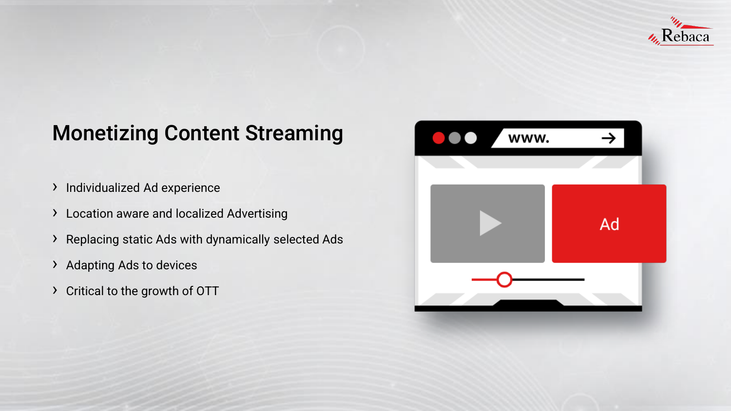

# Monetizing Content Streaming

- › Individualized Ad experience
- › Location aware and localized Advertising
- › Replacing static Ads with dynamically selected Ads
- › Adapting Ads to devices
- › Critical to the growth of OTT

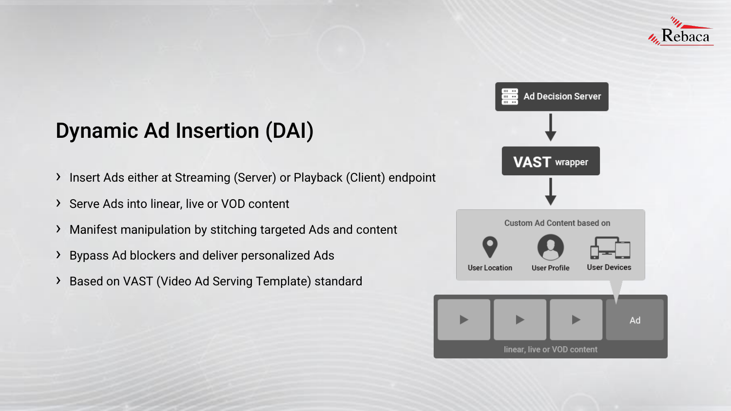

### Dynamic Ad Insertion (DAI)

- › Insert Ads either at Streaming (Server) or Playback (Client) endpoint
- › Serve Ads into linear, live or VOD content
- › Manifest manipulation by stitching targeted Ads and content
- › Bypass Ad blockers and deliver personalized Ads
- › Based on VAST (Video Ad Serving Template) standard



**Custom Ad Content based on** 





**User Location** 

**User Devices** 

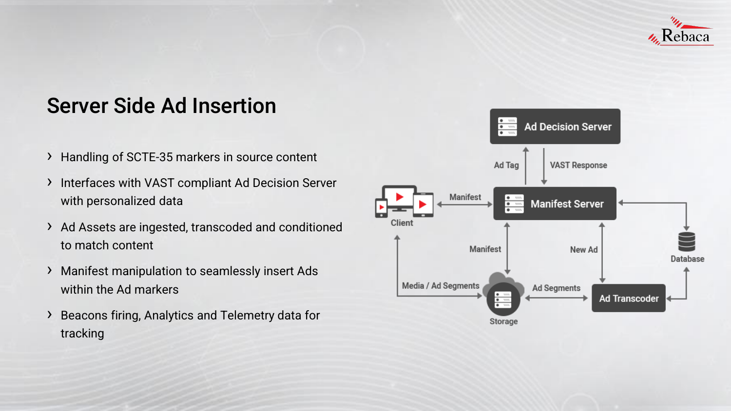

### Server Side Ad Insertion

- › Handling of SCTE-35 markers in source content
- › Interfaces with VAST compliant Ad Decision Server with personalized data
- › Ad Assets are ingested, transcoded and conditioned to match content
- › Manifest manipulation to seamlessly insert Ads within the Ad markers
- › Beacons firing, Analytics and Telemetry data for tracking

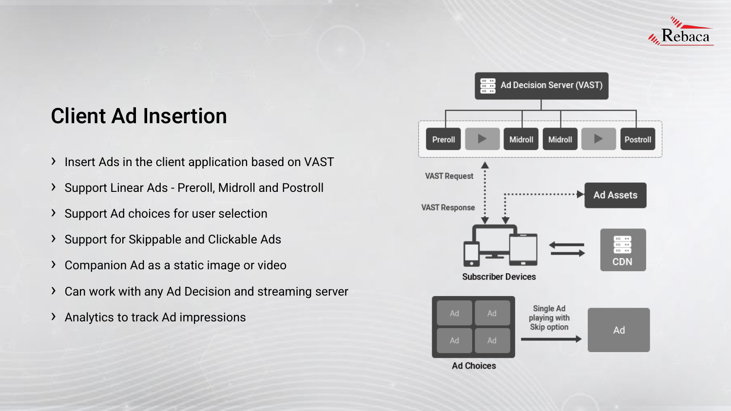

# Client Ad Insertion

- › Insert Ads in the client application based on VAST
- › Support Linear Ads Preroll, Midroll and Postroll
- › Support Ad choices for user selection
- › Support for Skippable and Clickable Ads
- › Companion Ad as a static image or video
- › Can work with any Ad Decision and streaming server
- › Analytics to track Ad impressions

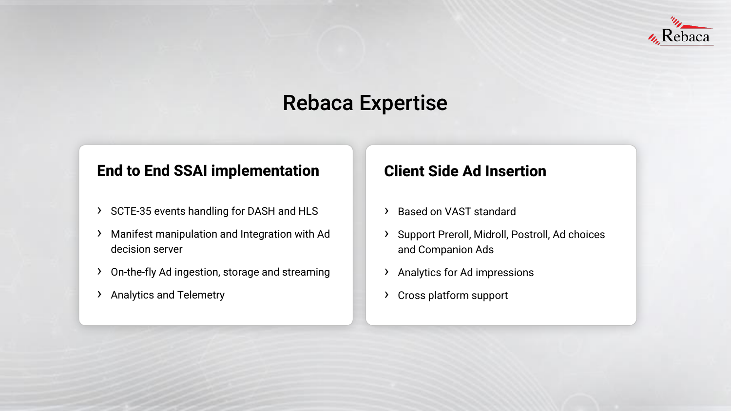

# Rebaca Expertise

#### **End to End SSAI implementation**

- › SCTE-35 events handling for DASH and HLS
- › Manifest manipulation and Integration with Ad decision server
- › On-the-fly Ad ingestion, storage and streaming
- › Analytics and Telemetry

#### **Client Side Ad Insertion**

- › Based on VAST standard
- › Support Preroll, Midroll, Postroll, Ad choices and Companion Ads
- › Analytics for Ad impressions
- › Cross platform support